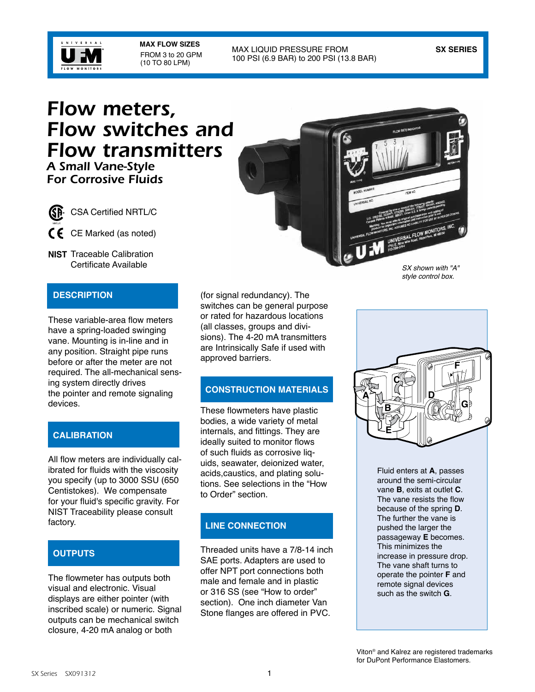

**MAX FLOW SIZES** FROM 3 to 20 GPM (10 TO 80 LPM)

#### MAX LIQUID PRESSURE FROM **SX SERIES** 100 PSI (6.9 BAR) to 200 PSI (13.8 BAR)

# *Flow meters, Flow switches and Flow transmitters A Small Vane-Style*

*For Corrosive Fluids*



- CSA Certified NRTL/C
- $\mathsf{\mathfrak{C}}\hspace{0.2mm}\mathsf{\mathfrak{C}}$  CE Marked (as noted)
- **NIST** Traceable Calibration Certificate Available

# **DESCRIPTION**

These variable-area flow meters have a spring-loaded swinging vane. Mounting is in-line and in any position. Straight pipe runs before or after the meter are not required. The all-mechanical sensing system directly drives the pointer and remote signaling devices.

# **CALIBRATION**

All flow meters are individually calibrated for fluids with the viscosity you specify (up to 3000 SSU (650 Centistokes). We compensate for your fluid's specific gravity. For NIST Traceability please consult factory.

## **OUTPUTS**

The flowmeter has outputs both visual and electronic. Visual displays are either pointer (with inscribed scale) or numeric. Signal outputs can be mechanical switch closure, 4-20 mA analog or both



(for signal redundancy). The switches can be general purpose or rated for hazardous locations (all classes, groups and divisions). The 4-20 mA transmitters are Intrinsically Safe if used with approved barriers.

## **CONSTRUCTION MATERIALS**

These flowmeters have plastic bodies, a wide variety of metal internals, and fittings. They are ideally suited to monitor flows of such fluids as corrosive liquids, seawater, deionized water, acids,caustics, and plating solutions. See selections in the "How to Order" section.

### **LINE CONNECTION**

Threaded units have a 7/8-14 inch SAE ports. Adapters are used to offer NPT port connections both male and female and in plastic or 316 SS (see "How to order" section). One inch diameter Van Stone flanges are offered in PVC.



Fluid enters at **A**, passes around the semi-circular vane **B**, exits at outlet **C**. The vane resists the flow because of the spring **D**. The further the vane is pushed the larger the passageway **E** becomes. This minimizes the increase in pressure drop. The vane shaft turns to operate the pointer **F** and remote signal devices such as the switch **G**.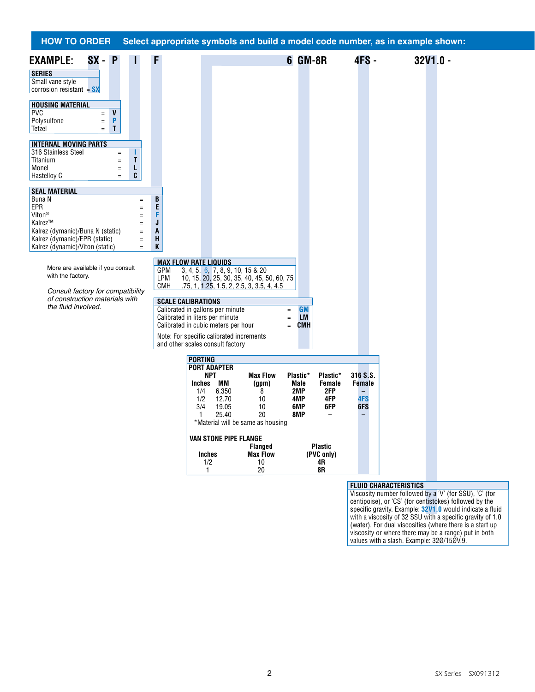#### More are available if you consult with the factory. *Consult factory for compatibility of construction materials with*  the fluid involved. **HOW TO ORDER Select appropriate symbols and build a model code number, as in example shown: EXAMPLE: SX - P I F 6 GM-8R 4FS - 32V1.0 - SERIES** Small vane style corrosion resistant = **SX HOUSING MATERIAL** PVC  $=$  **V**<br>Polysulfone  $=$  **P** Polysulfone = **P** Tefzel = **T INTERNAL MOVING PARTS** 316 Stainless Steel = **I** Titanium = **T**<br>Monel = **L** Monel = **L**<br>Hastellov C = **C** Hastelloy C **EXECUTE: SEAL MATERIAL Buna N** = **B**<br> **EPR** = **E** EPR = **E** Viton® = **F** Kalrez<sup>™</sup> =  $\overline{J}$ <br>Kalrez (dymanic)/Buna N (static) = **A** Kalrez (dymanic)/Buna N (static) = **A** Kalrez (dymanic)/EPR (static) = **H**<br>Kalrez (dynamic)/Viton (static) = **K** Kalrez (dynamic)/Viton (static) = **K MAX FLOW RATE LIQUIDS** GPM 3, 4, 5, 6, 7, 8, 9, 10, 15 & 20 LPM 10, 15, 20, 25, 30, 35, 40, 45, 50, 60, 75 CMH .75, 1, 1.25, 1.5, 2, 2.5, 3, 3.5, 4, 4.5 **SCALE CALIBRATIONS** Calibrated in gallons per minute  $=$  **GM**<br>Calibrated in liters per minute  $=$  **LM** Calibrated in liters per minute  $=$  **LM**<br>Calibrated in cubic meters per hour  $=$  **CMH** Calibrated in cubic meters per hour Note: For specific calibrated increments and other scales consult factory **PORTING PORT ADAPTER NPT Max Flow Plastic\* Plastic\* 316 S.S. Inches MM (gpm) Male Female Female** 1/4 6.350 8 **2MP 2FP** – 1/2 12.70 10 **4MP 4FP 4FS** 3/4 19.05 10 **6MP 6FP 6FS** 1 25.40 20 **8MP – –** \*Material will be same as housing **VAN STONE PIPE FLANGE Flanged** Plastic<br> **Plastic**<br> **PVC only**<br> **PVC only Inches Max Flow (PVC only)**<br>1/2 10 **4R** 1/2 10 **4R** 1 20 **8R FLUID CHARACTERISTICS** Viscosity number followed by a 'V' (for SSU), 'C' (for

centipoise), or 'CS' (for centistokes) followed by the specific gravity. Example: **32V1.0** would indicate a fluid with a viscosity of 32 SSU with a specific gravity of 1.0 (water). For dual viscosities (where there is a start up viscosity or where there may be a range) put in both values with a slash. Example: 32Ø/15ØV.9.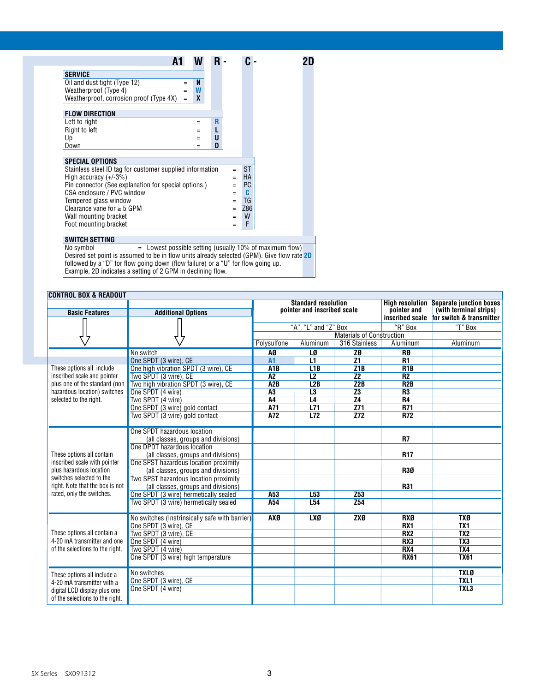| $=$                                                                             | N   |  |   |                                                                    |           |           |     |
|---------------------------------------------------------------------------------|-----|--|---|--------------------------------------------------------------------|-----------|-----------|-----|
|                                                                                 | W   |  |   |                                                                    |           |           |     |
| $=$                                                                             | X   |  |   |                                                                    |           |           |     |
|                                                                                 |     |  |   |                                                                    |           |           |     |
|                                                                                 |     |  |   |                                                                    |           |           |     |
|                                                                                 | $=$ |  |   |                                                                    |           |           |     |
|                                                                                 |     |  |   |                                                                    |           |           |     |
|                                                                                 |     |  |   |                                                                    |           |           |     |
|                                                                                 | $=$ |  | D |                                                                    |           |           |     |
|                                                                                 |     |  |   |                                                                    |           |           |     |
|                                                                                 |     |  |   |                                                                    | <b>ST</b> |           |     |
|                                                                                 |     |  |   | $=$                                                                | <b>HA</b> |           |     |
| High accuracy $(+/-3%)$<br>Pin connector (See explanation for special options.) |     |  |   |                                                                    |           |           |     |
|                                                                                 |     |  |   |                                                                    | C         |           |     |
|                                                                                 |     |  |   |                                                                    | TG        |           |     |
|                                                                                 |     |  |   |                                                                    |           |           |     |
|                                                                                 |     |  |   |                                                                    | W         |           |     |
|                                                                                 |     |  |   |                                                                    | F         |           |     |
|                                                                                 |     |  |   | R<br>U<br>Stainless steel ID tag for customer supplied information | $=$       | <b>PC</b> | Z86 |

#### **SWITCH SETTING**

No symbol  $=$  Lowest possible setting (usually 10% of maximum flow) Desired set point is assumed to be in flow units already selected (GPM). Give flow rate **2D** followed by a "D" for flow going down (flow failure) or a "U" for flow going up. Example, 2D indicates a setting of 2 GPM in declining flow.

# **CONTROL BOX & READOUT**

| <b>Basic Features</b>                                   |                                                                              | <b>Standard resolution</b><br>pointer and inscribed scale |                   | pointer and    | <b>High resolution Separate junction boxes</b><br>(with terminal strips) |                          |
|---------------------------------------------------------|------------------------------------------------------------------------------|-----------------------------------------------------------|-------------------|----------------|--------------------------------------------------------------------------|--------------------------|
|                                                         | <b>Additional Options</b>                                                    |                                                           |                   |                | inscribed scale                                                          | for switch & transmitter |
|                                                         |                                                                              | "A", "L" and "Z" Box                                      |                   |                | "R" Box                                                                  | "T" Box                  |
|                                                         |                                                                              | <b>Materials of Construction</b>                          |                   |                |                                                                          |                          |
|                                                         |                                                                              | Polysulfone                                               | Aluminum          | 316 Stainless  | Aluminum                                                                 | Aluminum                 |
|                                                         | No switch                                                                    | AØ                                                        | LØ                | ZØ             | RØ                                                                       |                          |
|                                                         | One SPDT (3 wire), CE                                                        | A1                                                        | L1                | Z1             | <b>R1</b>                                                                |                          |
| These options all include                               | One high vibration SPDT (3 wire), CE                                         | A <sub>1</sub> B                                          | L1B               | Z1B            | R <sub>1</sub> B                                                         |                          |
| inscribed scale and pointer                             | Two SPDT (3 wire), CE                                                        | A <sub>2</sub>                                            | L2                | Z <sub>2</sub> | R <sub>2</sub>                                                           |                          |
| plus one of the standard (non                           | Two high vibration SPDT (3 wire), CE                                         | A2B                                                       | L2B               | Z2B            | R <sub>2</sub> B                                                         |                          |
| hazardous location) switches                            | One SPDT (4 wire)                                                            | A3                                                        | L3                | Z <sub>3</sub> | R3                                                                       |                          |
| selected to the right.                                  | Two SPDT (4 wire)                                                            | <b>A4</b>                                                 | L4                | Z <sub>4</sub> | <b>R4</b><br><b>R71</b>                                                  |                          |
|                                                         | One SPDT (3 wire) gold contact                                               | A71<br>A72                                                | L71<br><b>L72</b> | Z71<br>Z72     | <b>R72</b>                                                               |                          |
|                                                         | Two SPDT (3 wire) gold contact                                               |                                                           |                   |                |                                                                          |                          |
|                                                         | One SPDT hazardous location                                                  |                                                           |                   |                |                                                                          |                          |
|                                                         | (all classes, groups and divisions)                                          |                                                           |                   |                | R7                                                                       |                          |
|                                                         | One DPDT hazardous location                                                  |                                                           |                   |                |                                                                          |                          |
| These options all contain                               | (all classes, groups and divisions)                                          |                                                           |                   |                | <b>R17</b>                                                               |                          |
| inscribed scale with pointer<br>plus hazardous location | One SPST hazardous location proximity                                        |                                                           |                   |                |                                                                          |                          |
| switches selected to the                                | (all classes, groups and divisions)<br>Two SPST hazardous location proximity |                                                           |                   |                | <b>R30</b>                                                               |                          |
| right. Note that the box is not                         | (all classes, groups and divisions)                                          |                                                           |                   |                | <b>R31</b>                                                               |                          |
| rated, only the switches.                               | One SPDT (3 wire) hermetically sealed                                        | A53                                                       | L53               | Z53            |                                                                          |                          |
|                                                         | Two SPDT (3 wire) hermetically sealed                                        | A54                                                       | L <sub>54</sub>   | Z54            |                                                                          |                          |
|                                                         |                                                                              |                                                           |                   |                |                                                                          |                          |
|                                                         | No switches (Instrinsically safe with barrier)                               | <b>AXØ</b>                                                | <b>LXØ</b>        | <b>ZXØ</b>     | <b>RXØ</b>                                                               | <b>TXØ</b>               |
|                                                         | One SPDT (3 wire), CE                                                        |                                                           |                   |                | RX <sub>1</sub>                                                          | TX <sub>1</sub>          |
| These options all contain a                             | Two SPDT (3 wire), CE                                                        |                                                           |                   |                | RX <sub>2</sub>                                                          | TX <sub>2</sub>          |
| 4-20 mA transmitter and one                             | One SPDT (4 wire)                                                            |                                                           |                   |                | RX3                                                                      | TX3                      |
| of the selections to the right.                         | Two SPDT (4 wire)                                                            |                                                           |                   |                | RX4                                                                      | TX4                      |
|                                                         | One SPDT (3 wire) high temperature                                           |                                                           |                   |                | <b>RX61</b>                                                              | <b>TX61</b>              |
| These options all include a                             | No switches                                                                  |                                                           |                   |                |                                                                          | <b>TXLØ</b>              |
| 4-20 mA transmitter with a                              | One SPDT (3 wire), CE                                                        |                                                           |                   |                |                                                                          | TXL1                     |
| digital LCD display plus one                            | One SPDT (4 wire)                                                            |                                                           |                   |                |                                                                          | TXL3                     |
| of the selections to the right.                         |                                                                              |                                                           |                   |                |                                                                          |                          |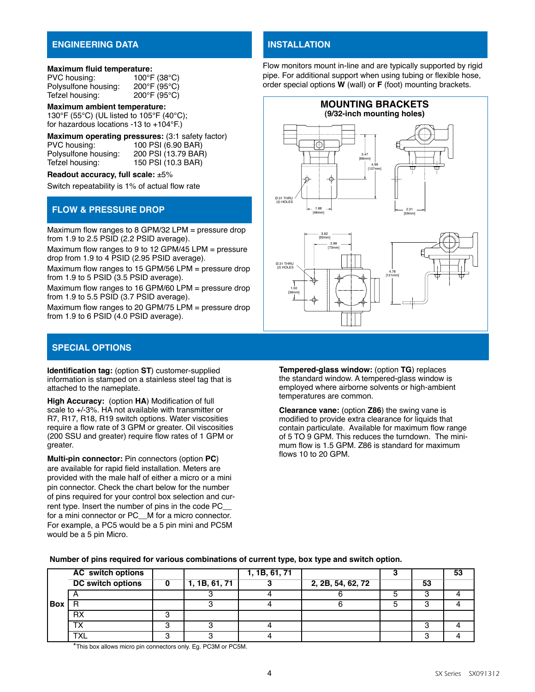#### **ENGINEERING DATA**

#### **Maximum fluid temperature:**

| PVC housing:         | 100°F (38°C)           |
|----------------------|------------------------|
| Polysulfone housing: | $200^{\circ}$ F (95°C) |
| Tefzel housing:      | $200^{\circ}$ F (95°C) |

**Maximum ambient temperature:** 130°F (55°C) (UL listed to 105°F (40°C); for hazardous locations -13 to +104°F.)

**Maximum operating pressures:** (3:1 safety factor)<br>PVC housing: 100 PSI (6.90 BAR) PVC housing: 100 PSI (6.90 BAR)<br>Polysulfone housing: 200 PSI (13.79 BAR Polysulfone housing: 200 PSI (13.79 BAR)<br>Tefzel housing: 150 PSI (10.3 BAR) 150 PSI (10.3 BAR)

**Readout accuracy, full scale:** ±5%

Switch repeatability is 1% of actual flow rate

### **FLOW & PRESSURE DROP**

Maximum flow ranges to 8 GPM/32 LPM = pressure drop from 1.9 to 2.5 PSID (2.2 PSID average).

Maximum flow ranges to 9 to 12 GPM/45 LPM = pressure drop from 1.9 to 4 PSID (2.95 PSID average).

Maximum flow ranges to 15 GPM/56 LPM = pressure drop from 1.9 to 5 PSID (3.5 PSID average).

Maximum flow ranges to 16 GPM/60 LPM = pressure drop from 1.9 to 5.5 PSID (3.7 PSID average).

Maximum flow ranges to 20 GPM/75 LPM = pressure drop from 1.9 to 6 PSID (4.0 PSID average).

## **SPECIAL OPTIONS**

**Identification tag:** (option **ST**) customer-supplied information is stamped on a stainless steel tag that is attached to the nameplate.

**High Accuracy:** (option **HA**) Modification of full scale to +/-3%. HA not available with transmitter or R7, R17, R18, R19 switch options. Water viscosities require a flow rate of 3 GPM or greater. Oil viscosities (200 SSU and greater) require flow rates of 1 GPM or greater.

**Multi-pin connector:** Pin connectors (option **PC**) are available for rapid field installation. Meters are provided with the male half of either a micro or a mini pin connector. Check the chart below for the number of pins required for your control box selection and current type. Insert the number of pins in the code PC\_\_ for a mini connector or PC M for a micro connector. For example, a PC5 would be a 5 pin mini and PC5M would be a 5 pin Micro.

# **Installation**

Flow monitors mount in-line and are typically supported by rigid pipe. For additional support when using tubing or flexible hose, order special options **W** (wall) or **F** (foot) mounting brackets.





**Tempered-glass window:** (option **TG**) replaces the standard window. A tempered-glass window is employed where airborne solvents or high-ambient temperatures are common.

**Clearance vane:** (option **Z86**) the swing vane is modified to provide extra clearance for liquids that contain particulate. Available for maximum flow range of 5 TO 9 GPM. This reduces the turndown. The minimum flow is 1.5 GPM. Z86 is standard for maximum flows 10 to 20 GPM.

|       | <b>AC</b> switch options |               | 1, 1B, 61, 71 |                   |    | 53 |
|-------|--------------------------|---------------|---------------|-------------------|----|----|
|       | <b>DC</b> switch options | 1, 1B, 61, 71 |               | 2, 2B, 54, 62, 72 | 53 |    |
|       |                          |               |               |                   |    |    |
| l Box |                          |               |               |                   |    |    |
|       | <b>RX</b>                |               |               |                   |    |    |
|       | ᠇៶                       |               |               |                   |    |    |
|       | TV.<br>∧∟                |               |               |                   |    |    |

#### **Number of pins required for various combinations of current type, box type and switch option.**

\*This box allows micro pin connectors only. Eg. PC3M or PC5M.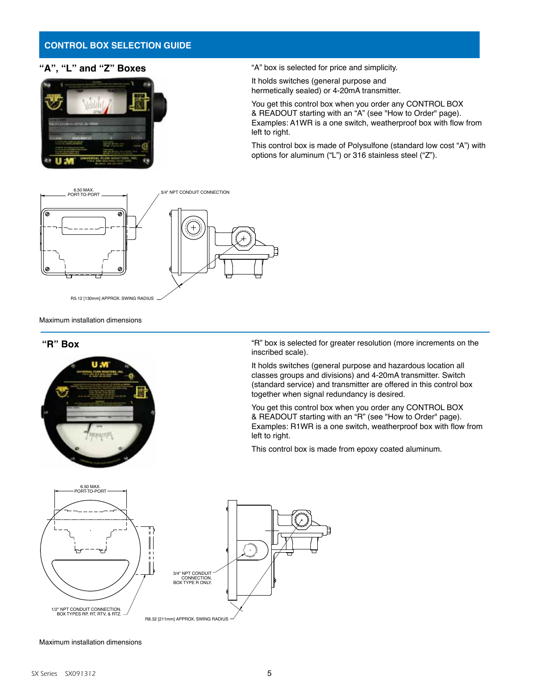#### **CONTROL BOX SELECTION GUIDE**

#### **"A", "L" and "Z" Boxes**



"A" box is selected for price and simplicity.

It holds switches (general purpose and hermetically sealed) or 4-20mA transmitter.

You get this control box when you order any CONTROL BOX & READOUT starting with an "A" (see "How to Order" page). Examples: A1WR is a one switch, weatherproof box with flow from left to right.

This control box is made of Polysulfone (standard low cost "A") with options for aluminum ("L") or 316 stainless steel ("Z").



Maximum installation dimensions

#### **"R" Box**



"R" box is selected for greater resolution (more increments on the inscribed scale).

It holds switches (general purpose and hazardous location all classes groups and divisions) and 4-20mA transmitter. Switch (standard service) and transmitter are offered in this control box together when signal redundancy is desired.

You get this control box when you order any CONTROL BOX & READOUT starting with an "R" (see "How to Order" page). Examples: R1WR is a one switch, weatherproof box with flow from left to right.

This control box is made from epoxy coated aluminum.



#### Maximum installation dimensions